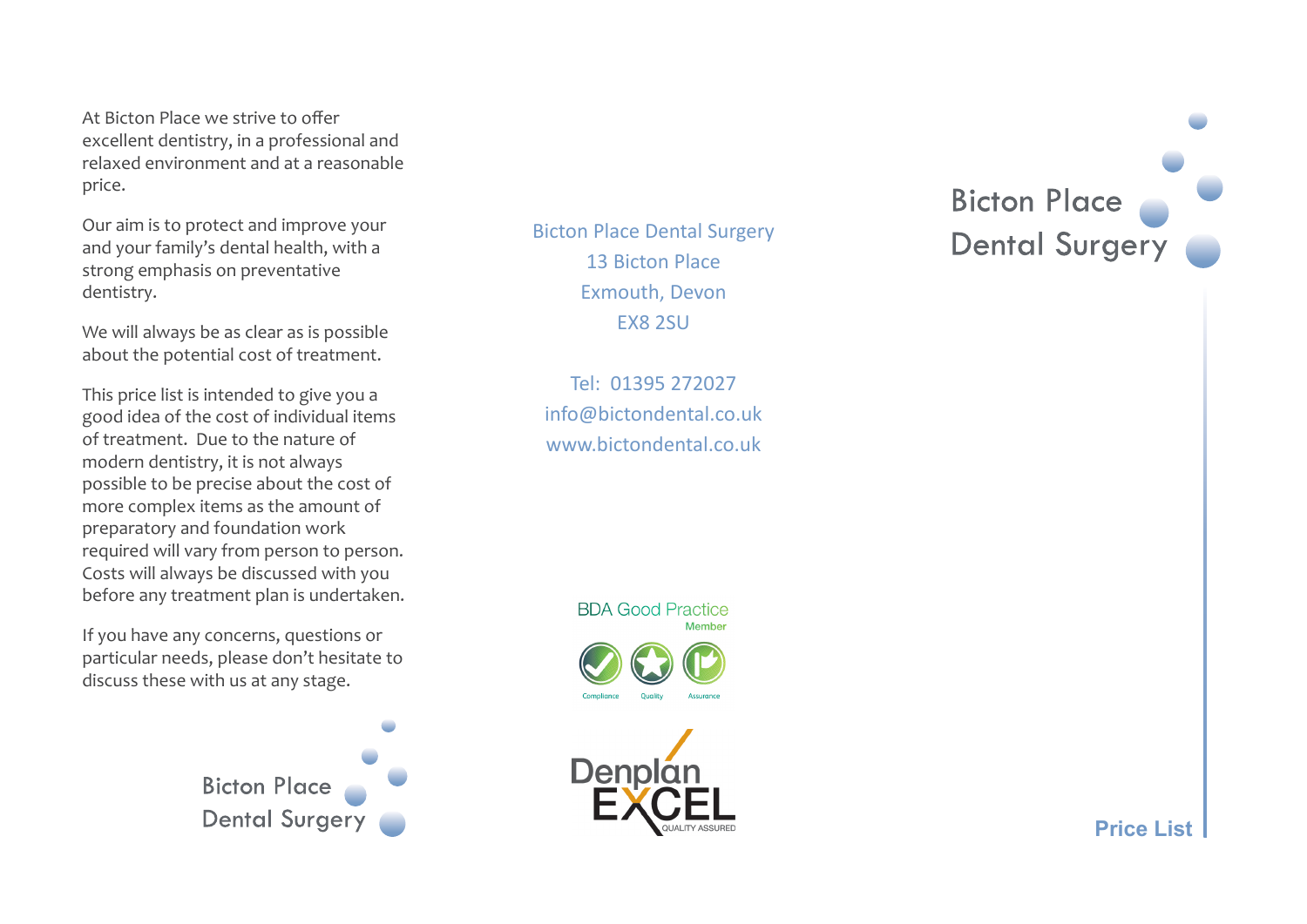At Bicton Place we strive to offer excellent dentistry, in a professional and relaxed environment and at a reasonable price.

Our aim is to protect and improve your and your family's dental health, with a strong emphasis on preventative dentistry.

We will always be as clear as is possible about the potential cost of treatment.

This price list is intended to give you a good idea of the cost of individual items of treatment. Due to the nature of modern dentistry, it is not always possible to be precise about the cost of more complex items as the amount of preparatory and foundation work required will vary from person to person. Costs will always be discussed with you before any treatment plan is undertaken.

If you have any concerns, questions or particular needs, please don't hesitate to discuss these with us at any stage.

> **Bicton Place Dental Surgery**

Bicton Place Dental Surgery 13 Bicton Place Exmouth, Devon EX8 2SU

Tel: 01395 272027 info@bictondental.co.uk www.bictondental.co.uk

**BDA Good Practice** 



**Bicton Place** Dental Surgery

**Price List**